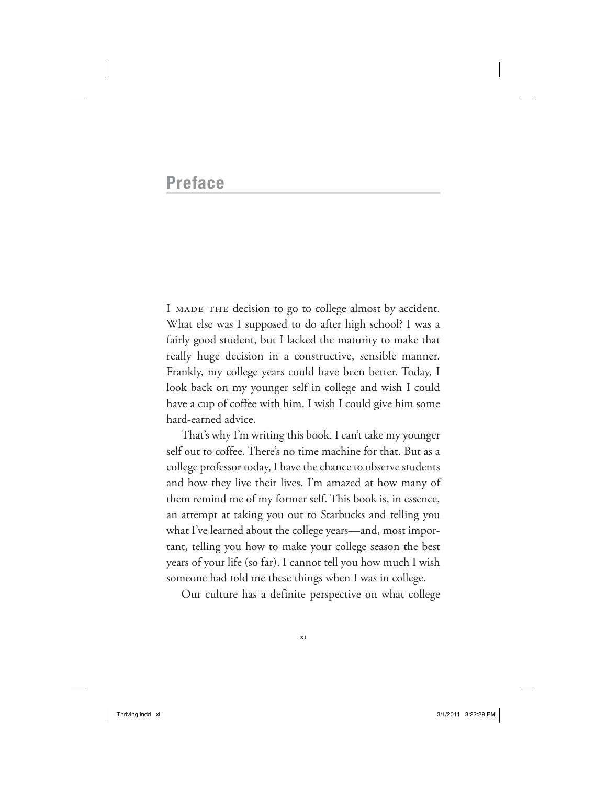# **Preface**

I MADE THE decision to go to college almost by accident. What else was I supposed to do after high school? I was a fairly good student, but I lacked the maturity to make that really huge decision in a constructive, sensible manner. Frankly, my college years could have been better. Today, I look back on my younger self in college and wish I could have a cup of coffee with him. I wish I could give him some hard-earned advice.

That's why I'm writing this book. I can't take my younger self out to coffee. There's no time machine for that. But as a college professor today, I have the chance to observe students and how they live their lives. I'm amazed at how many of them remind me of my former self. This book is, in essence, an attempt at taking you out to Starbucks and telling you what I've learned about the college years— and, most important, telling you how to make your college season the best years of your life (so far). I cannot tell you how much I wish someone had told me these things when I was in college.

Our culture has a definite perspective on what college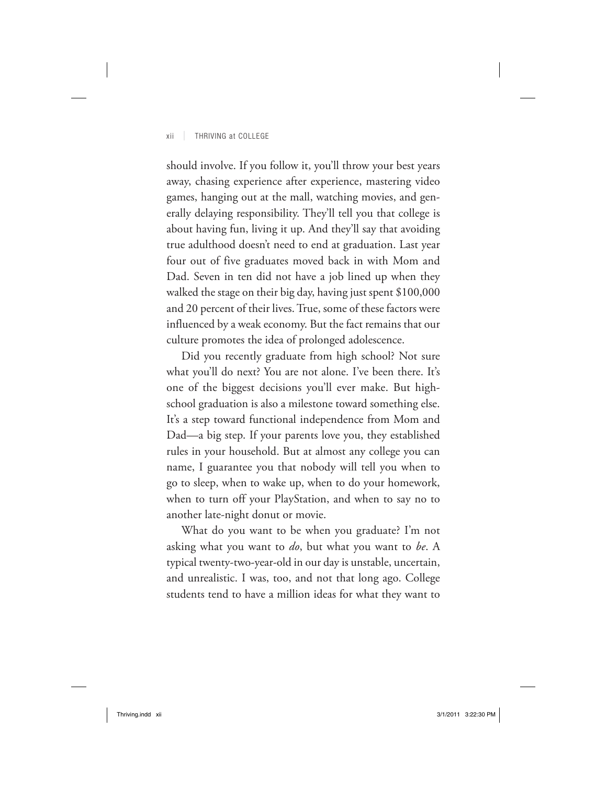## xii | THRIVING at COLLEGE

should involve. If you follow it, you'll throw your best years away, chasing experience after experience, mastering video games, hanging out at the mall, watching movies, and generally delaying responsibility. They'll tell you that college is about having fun, living it up. And they'll say that avoiding true adulthood doesn't need to end at graduation. Last year four out of five graduates moved back in with Mom and Dad. Seven in ten did not have a job lined up when they walked the stage on their big day, having just spent \$100,000 and 20 percent of their lives. True, some of these factors were influenced by a weak economy. But the fact remains that our culture promotes the idea of prolonged adolescence.

Did you recently graduate from high school? Not sure what you'll do next? You are not alone. I've been there. It's one of the biggest decisions you'll ever make. But highschool graduation is also a milestone toward something else. It's a step toward functional independence from Mom and Dad—a big step. If your parents love you, they established rules in your household. But at almost any college you can name, I guarantee you that nobody will tell you when to go to sleep, when to wake up, when to do your homework, when to turn off your PlayStation, and when to say no to another late-night donut or movie.

What do you want to be when you graduate? I'm not asking what you want to *do*, but what you want to *be*. A typical twenty- two- year- old in our day is unstable, uncertain, and unrealistic. I was, too, and not that long ago. College students tend to have a million ideas for what they want to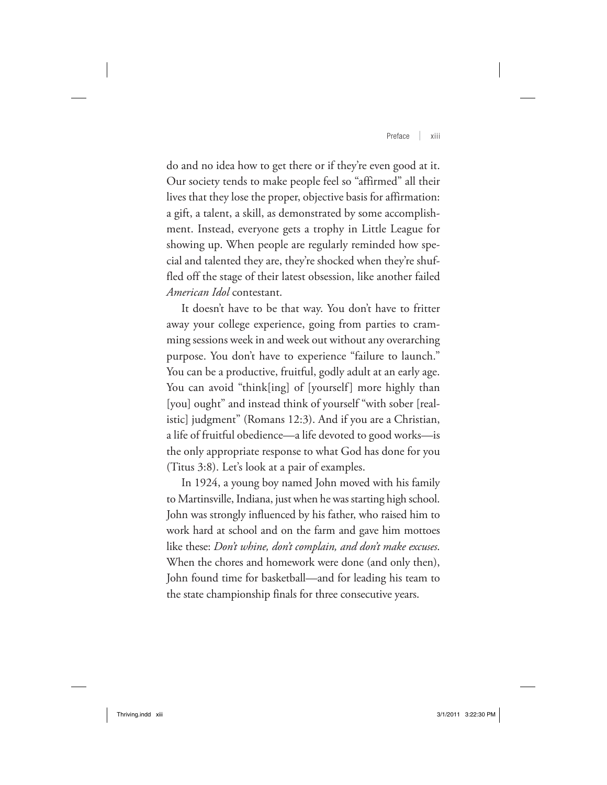Preface | xiii

do and no idea how to get there or if they're even good at it. Our society tends to make people feel so "affirmed" all their lives that they lose the proper, objective basis for affirmation: a gift, a talent, a skill, as demonstrated by some accomplishment. Instead, everyone gets a trophy in Little League for showing up. When people are regularly reminded how special and talented they are, they're shocked when they're shuffled off the stage of their latest obsession, like another failed *American Idol* contestant.

It doesn't have to be that way. You don't have to fritter away your college experience, going from parties to cramming sessions week in and week out without any overarching purpose. You don't have to experience "failure to launch." You can be a productive, fruitful, godly adult at an early age. You can avoid "think[ing] of [yourself] more highly than [you] ought" and instead think of yourself "with sober [realistic] judgment" (Romans 12:3). And if you are a Christian, a life of fruitful obedience— a life devoted to good works— is the only appropriate response to what God has done for you (Titus 3:8). Let's look at a pair of examples.

In 1924, a young boy named John moved with his family to Martinsville, Indiana, just when he was starting high school. John was strongly influenced by his father, who raised him to work hard at school and on the farm and gave him mottoes like these: *Don't whine, don't complain, and don't make excuses*. When the chores and homework were done (and only then), John found time for basketball— and for leading his team to the state championship finals for three consecutive years.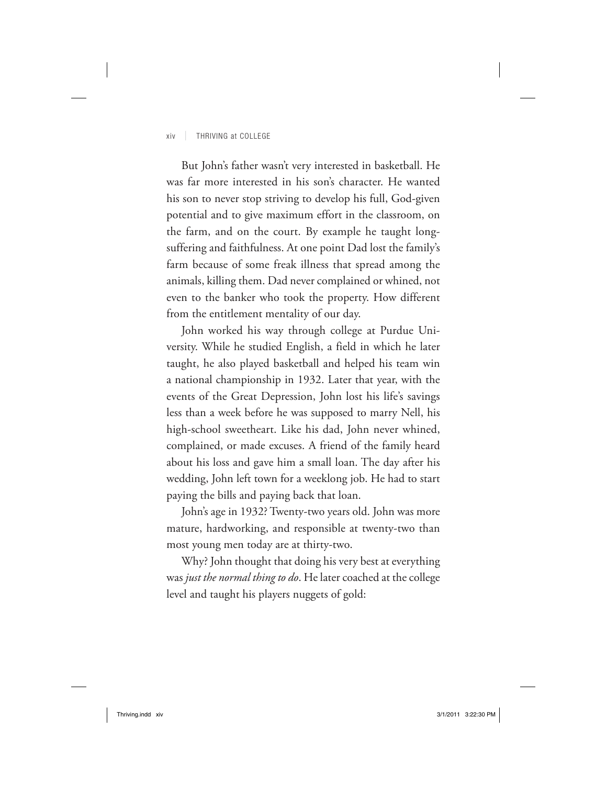## xiv | THRIVING at COLLEGE

But John's father wasn't very interested in basketball. He was far more interested in his son's character. He wanted his son to never stop striving to develop his full, God-given potential and to give maximum effort in the classroom, on the farm, and on the court. By example he taught longsuffering and faithfulness. At one point Dad lost the family's farm because of some freak illness that spread among the animals, killing them. Dad never complained or whined, not even to the banker who took the property. How different from the entitlement mentality of our day.

John worked his way through college at Purdue University. While he studied English, a field in which he later taught, he also played basketball and helped his team win a national championship in 1932. Later that year, with the events of the Great Depression, John lost his life's savings less than a week before he was supposed to marry Nell, his high-school sweetheart. Like his dad, John never whined, complained, or made excuses. A friend of the family heard about his loss and gave him a small loan. The day after his wedding, John left town for a weeklong job. He had to start paying the bills and paying back that loan.

John's age in 1932? Twenty-two years old. John was more mature, hardworking, and responsible at twenty-two than most young men today are at thirty-two.

Why? John thought that doing his very best at everything was *just the normal thing to do*. He later coached at the college level and taught his players nuggets of gold: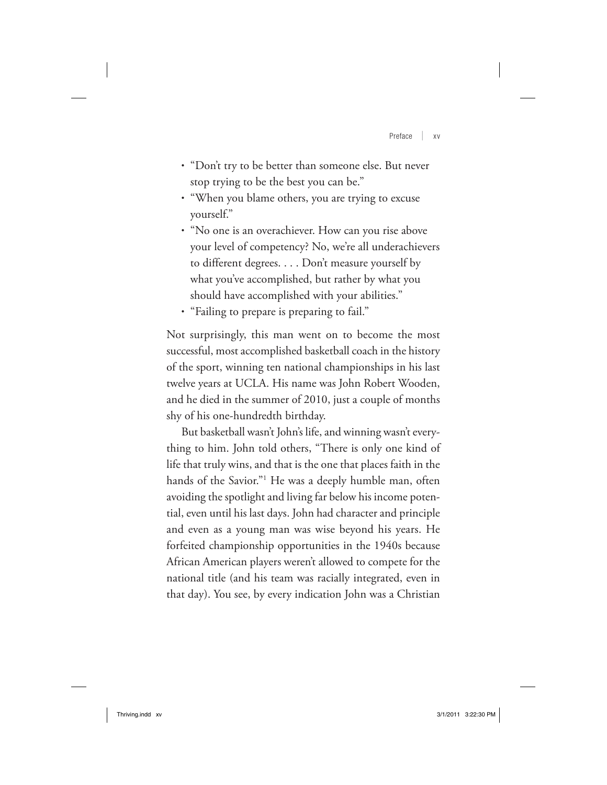Preface | xv

- "Don't try to be better than someone else. But never stop trying to be the best you can be."
- "When you blame others, you are trying to excuse yourself."
- "No one is an overachiever. How can you rise above your level of competency? No, we're all underachievers to different degrees. . . . Don't measure yourself by what you've accomplished, but rather by what you should have accomplished with your abilities."
- "Failing to prepare is preparing to fail."

Not surprisingly, this man went on to become the most successful, most accomplished basketball coach in the history of the sport, winning ten national championships in his last twelve years at UCLA. His name was John Robert Wooden, and he died in the summer of 2010, just a couple of months shy of his one-hundredth birthday.

But basketball wasn't John's life, and winning wasn't everything to him. John told others, "There is only one kind of life that truly wins, and that is the one that places faith in the hands of the Savior."1 He was a deeply humble man, often avoiding the spotlight and living far below his income potential, even until his last days. John had character and principle and even as a young man was wise beyond his years. He forfeited championship opportunities in the 1940s because African American players weren't allowed to compete for the national title (and his team was racially integrated, even in that day). You see, by every indication John was a Christian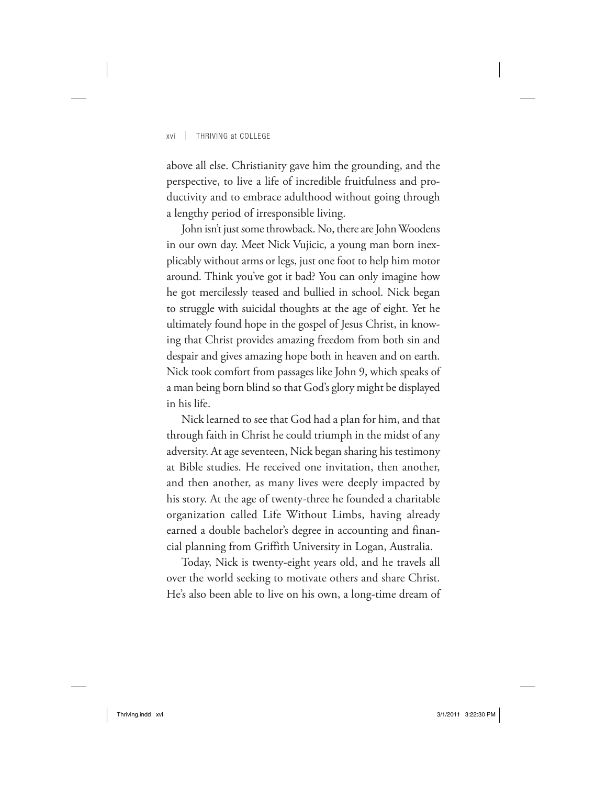## xvi | THRIVING at COLLEGE

above all else. Christianity gave him the grounding, and the perspective, to live a life of incredible fruitfulness and productivity and to embrace adulthood without going through a lengthy period of irresponsible living.

John isn't just some throwback. No, there are John Woodens in our own day. Meet Nick Vujicic, a young man born inexplicably without arms or legs, just one foot to help him motor around. Think you've got it bad? You can only imagine how he got mercilessly teased and bullied in school. Nick began to struggle with suicidal thoughts at the age of eight. Yet he ultimately found hope in the gospel of Jesus Christ, in knowing that Christ provides amazing freedom from both sin and despair and gives amazing hope both in heaven and on earth. Nick took comfort from passages like John 9, which speaks of a man being born blind so that God's glory might be displayed in his life.

Nick learned to see that God had a plan for him, and that through faith in Christ he could triumph in the midst of any adversity. At age seventeen, Nick began sharing his testimony at Bible studies. He received one invitation, then another, and then another, as many lives were deeply impacted by his story. At the age of twenty-three he founded a charitable organization called Life Without Limbs, having already earned a double bachelor's degree in accounting and financial planning from Griffith University in Logan, Australia.

Today, Nick is twenty- eight years old, and he travels all over the world seeking to motivate others and share Christ. He's also been able to live on his own, a long-time dream of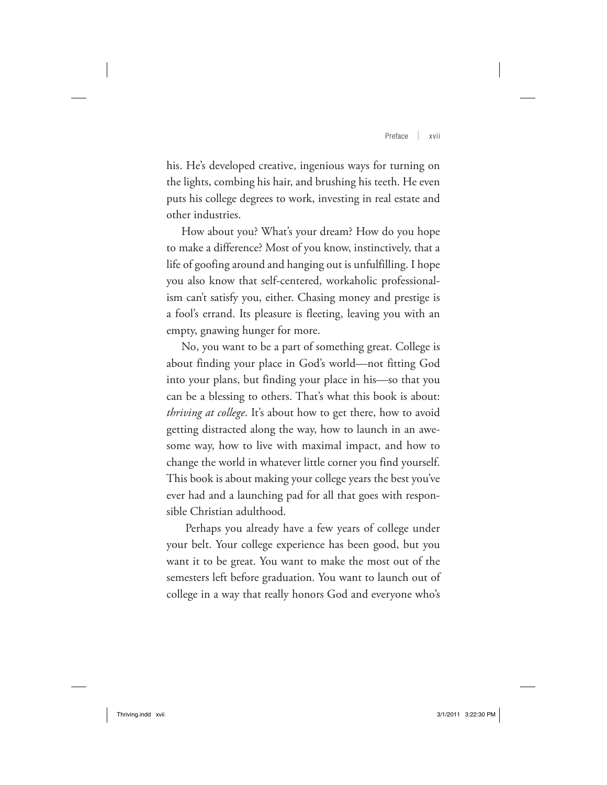Preface | xvii

his. He's developed creative, ingenious ways for turning on the lights, combing his hair, and brushing his teeth. He even puts his college degrees to work, investing in real estate and other industries.

How about you? What's your dream? How do you hope to make a difference? Most of you know, instinctively, that a life of goofing around and hanging out is unfulfilling. I hope you also know that self-centered, workaholic professionalism can't satisfy you, either. Chasing money and prestige is a fool's errand. Its pleasure is fleeting, leaving you with an empty, gnawing hunger for more.

No, you want to be a part of something great. College is about finding your place in God's world— not fitting God into your plans, but finding your place in his— so that you can be a blessing to others. That's what this book is about: *thriving at college*. It's about how to get there, how to avoid getting distracted along the way, how to launch in an awesome way, how to live with maximal impact, and how to change the world in whatever little corner you find yourself. This book is about making your college years the best you've ever had and a launching pad for all that goes with responsible Christian adulthood.

 Perhaps you already have a few years of college under your belt. Your college experience has been good, but you want it to be great. You want to make the most out of the semesters left before graduation. You want to launch out of college in a way that really honors God and everyone who's